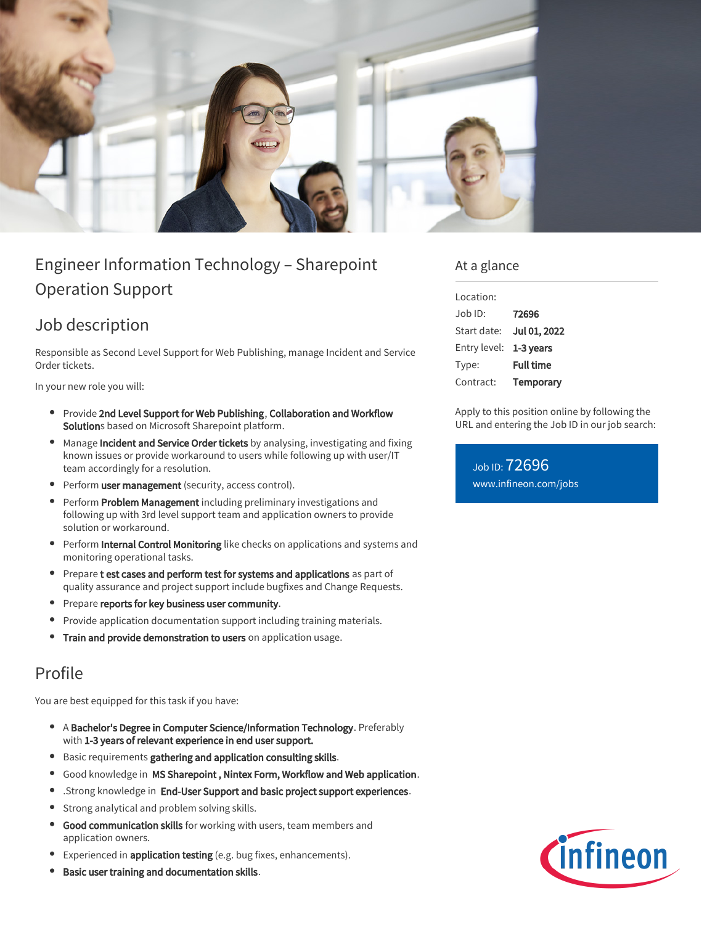

# Engineer Information Technology – Sharepoint Operation Support

## Job description

Responsible as Second Level Support for Web Publishing, manage Incident and Service Order tickets.

In your new role you will:

- Provide 2nd Level Support for Web Publishing, Collaboration and Workflow Solutions based on Microsoft Sharepoint platform.
- Manage Incident and Service Order tickets by analysing, investigating and fixing known issues or provide workaround to users while following up with user/IT team accordingly for a resolution.
- **Perform user management** (security, access control).
- Perform Problem Management including preliminary investigations and following up with 3rd level support team and application owners to provide solution or workaround.
- $\bullet$ Perform Internal Control Monitoring like checks on applications and systems and monitoring operational tasks.
- **•** Prepare t est cases and perform test for systems and applications as part of quality assurance and project support include bugfixes and Change Requests.
- Prepare reports for key business user community.  $\bullet$
- Provide application documentation support including training materials.
- Train and provide demonstration to users on application usage.

## Profile

You are best equipped for this task if you have:

- $\bullet$ A Bachelor's Degree in Computer Science/Information Technology. Preferably with 1-3 years of relevant experience in end user support.
- **Basic requirements gathering and application consulting skills.**
- Good knowledge in MS Sharepoint , Nintex Form, Workflow and Web application.  $\bullet$
- .Strong knowledge in End-User Support and basic project support experiences.
- **Strong analytical and problem solving skills.**
- Good communication skills for working with users, team members and  $\bullet$ application owners.
- Experienced in *application testing* (e.g. bug fixes, enhancements).
- $\bullet$ Basic user training and documentation skills.

#### At a glance

| Location:    |                  |
|--------------|------------------|
| Job ID:      | 72696            |
| Start date:  | Jul 01, 2022     |
| Entry level: | 1-3 years        |
| Type:        | <b>Full time</b> |
| Contract:    | Temporary        |

Apply to this position online by following the URL and entering the Job ID in our job search:

Job ID: 72696 [www.infineon.com/jobs](https://www.infineon.com/jobs)